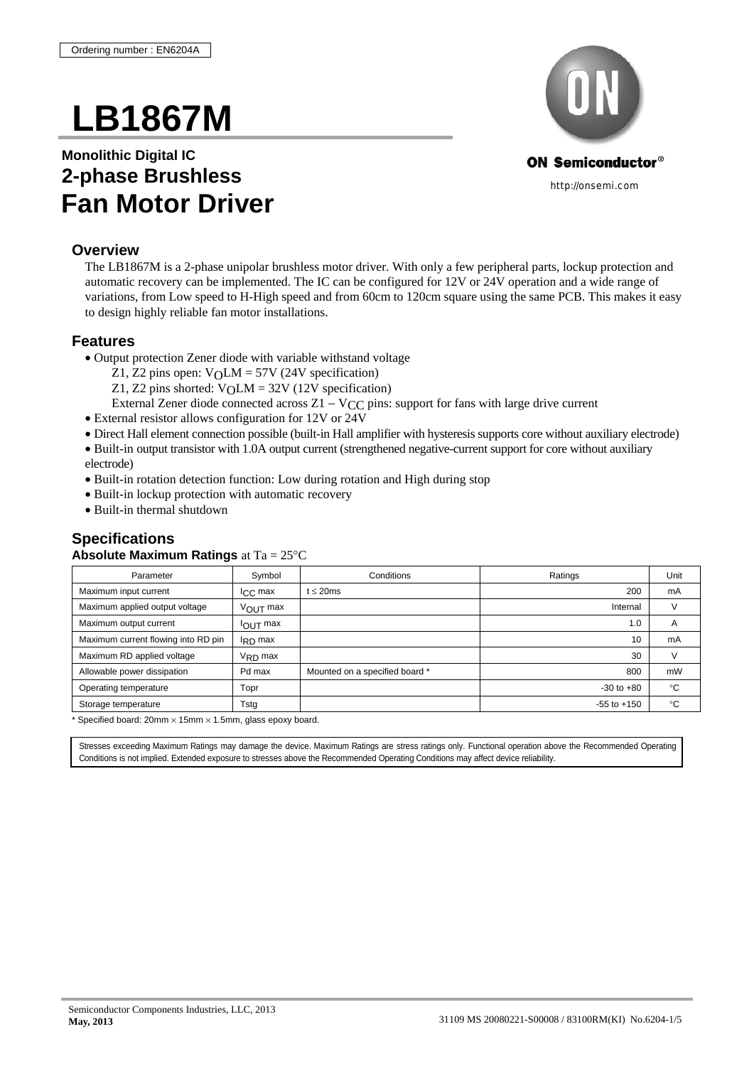# **LB1867M**

## **Monolithic Digital IC 2-phase Brushless Fan Motor Driver**

#### **Overview**

The LB1867M is a 2-phase unipolar brushless motor driver. With only a few peripheral parts, lockup protection and automatic recovery can be implemented. The IC can be configured for 12V or 24V operation and a wide range of variations, from Low speed to H-High speed and from 60cm to 120cm square using the same PCB. This makes it easy to design highly reliable fan motor installations.

#### **Features**

- Output protection Zener diode with variable withstand voltage
	- Z1, Z2 pins open:  $V_0LM = 57V$  (24V specification)
	- Z1, Z2 pins shorted:  $V_0LM = 32V$  (12V specification)
	- External Zener diode connected across  $Z1 VCC$  pins: support for fans with large drive current
- External resistor allows configuration for 12V or 24V
- Direct Hall element connection possible (built-in Hall amplifier with hysteresis supports core without auxiliary electrode)
- Built-in output transistor with 1.0A output current (strengthened negative-current support for core without auxiliary electrode)
- Built-in rotation detection function: Low during rotation and High during stop
- Built-in lockup protection with automatic recovery
- Built-in thermal shutdown

#### **Specifications**

#### **Absolute Maximum Ratings** at Ta = 25°C

| Parameter                           | Symbol                 | Conditions                     | Ratings         | Unit           |
|-------------------------------------|------------------------|--------------------------------|-----------------|----------------|
| Maximum input current               | $ICC$ max              | $t \leq 20$ ms                 | 200             | mA             |
| Maximum applied output voltage      | $V_{\text{OUT}}$ max   |                                | Internal        |                |
| Maximum output current              | $I_{\text{OUT}}$ max   |                                | 1.0             | $\overline{A}$ |
| Maximum current flowing into RD pin | $I_{\rm RD}$ max       |                                | 10              | mA             |
| Maximum RD applied voltage          | $V_{\mathsf{R}}$ n max |                                | 30              | $\mathcal{U}$  |
| Allowable power dissipation         | Pd max                 | Mounted on a specified board * | 800             | mW             |
| Operating temperature               | Topr                   |                                | $-30$ to $+80$  | $^{\circ}$ C   |
| Storage temperature                 | Tstg                   |                                | $-55$ to $+150$ | $^{\circ}$ C   |

 $*$  Specified board: 20mm  $\times$  15mm  $\times$  1.5mm, glass epoxy board.

Stresses exceeding Maximum Ratings may damage the device. Maximum Ratings are stress ratings only. Functional operation above the Recommended Operating Conditions is not implied. Extended exposure to stresses above the Recommended Operating Conditions may affect device reliability.

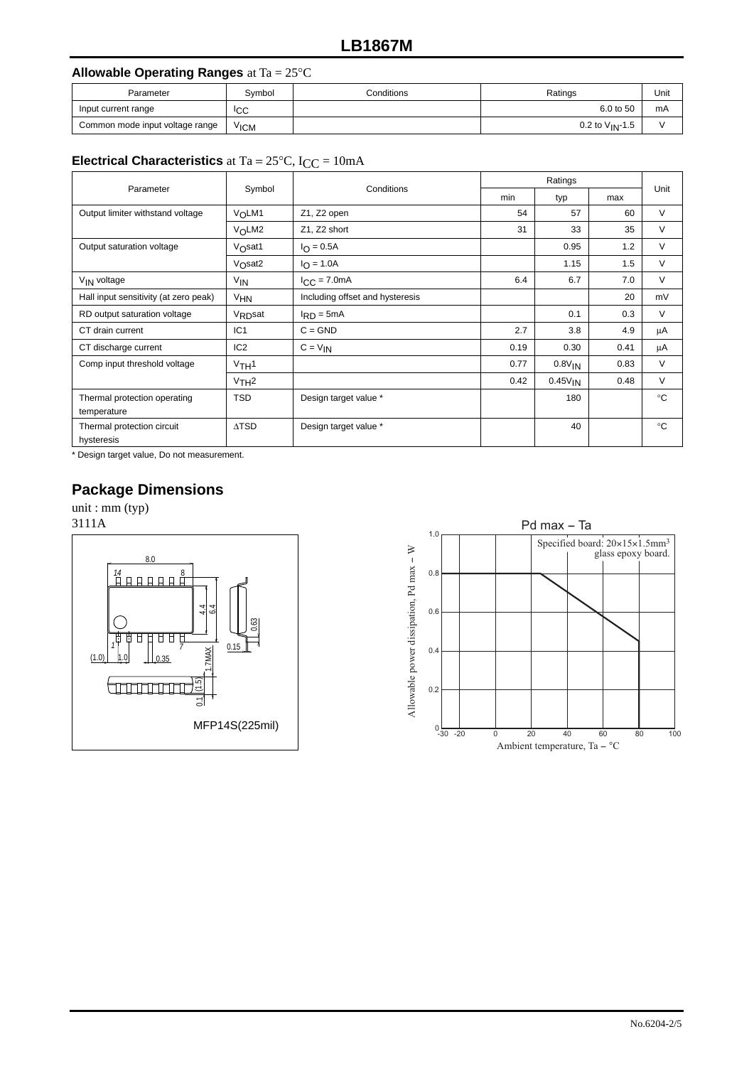#### **LB1867M**

#### **Allowable Operating Ranges** at Ta = 25°C

| Parameter                       | Symbol           | Conditions | Ratings              | Unit |
|---------------------------------|------------------|------------|----------------------|------|
| Input current range             | <sup>I</sup> CC  |            | 6.0 to 50            | mA   |
| Common mode input voltage range | V <sub>ICM</sub> |            | 0.2 to $V_{IN}$ -1.5 |      |

#### **Electrical Characteristics** at Ta =  $25^{\circ}$ C, I<sub>CC</sub> =  $10$ mA

| Parameter                             | Conditions          | Ratings                         |      |                     | Unit |              |
|---------------------------------------|---------------------|---------------------------------|------|---------------------|------|--------------|
|                                       | Symbol              |                                 |      | typ                 | max  |              |
| Output limiter withstand voltage      | VOLM1               | Z1, Z2 open                     | 54   | 57                  | 60   | V            |
|                                       | $V_0$ LM2           | Z1, Z2 short                    | 31   | 33                  | 35   | V            |
| Output saturation voltage             | $Vo$ sat1           | $I_{\Omega} = 0.5A$             |      | 0.95                | 1.2  | V            |
|                                       | $VO$ sat2           | $I_{\Omega} = 1.0A$             |      | 1.15                | 1.5  | V            |
| V <sub>IN</sub> voltage               | V <sub>IN</sub>     | $I_{CC} = 7.0mA$                | 6.4  | 6.7                 | 7.0  | V            |
| Hall input sensitivity (at zero peak) | V <sub>HN</sub>     | Including offset and hysteresis |      |                     | 20   | mV           |
| RD output saturation voltage          | V <sub>RD</sub> sat | $I_{RD} = 5mA$                  |      | 0.1                 | 0.3  | V            |
| CT drain current                      | IC <sub>1</sub>     | $C = GND$                       | 2.7  | 3.8                 | 4.9  | μA           |
| CT discharge current                  | IC <sub>2</sub>     | $C = V_{IN}$                    | 0.19 | 0.30                | 0.41 | μA           |
| Comp input threshold voltage          | $V$ TH <sup>1</sup> |                                 | 0.77 | 0.8V <sub>IN</sub>  | 0.83 | V            |
|                                       | $VTH^2$             |                                 | 0.42 | 0.45V <sub>IN</sub> | 0.48 | V            |
| Thermal protection operating          | <b>TSD</b>          | Design target value *           |      | 180                 |      | $^{\circ}$ C |
| temperature                           |                     |                                 |      |                     |      |              |
| Thermal protection circuit            | $\triangle$ TSD     | Design target value *           |      | 40                  |      | ം            |
| hysteresis                            |                     |                                 |      |                     |      |              |

\* Design target value, Do not measurement.

#### **Package Dimensions**

unit : mm (typ)

3111A



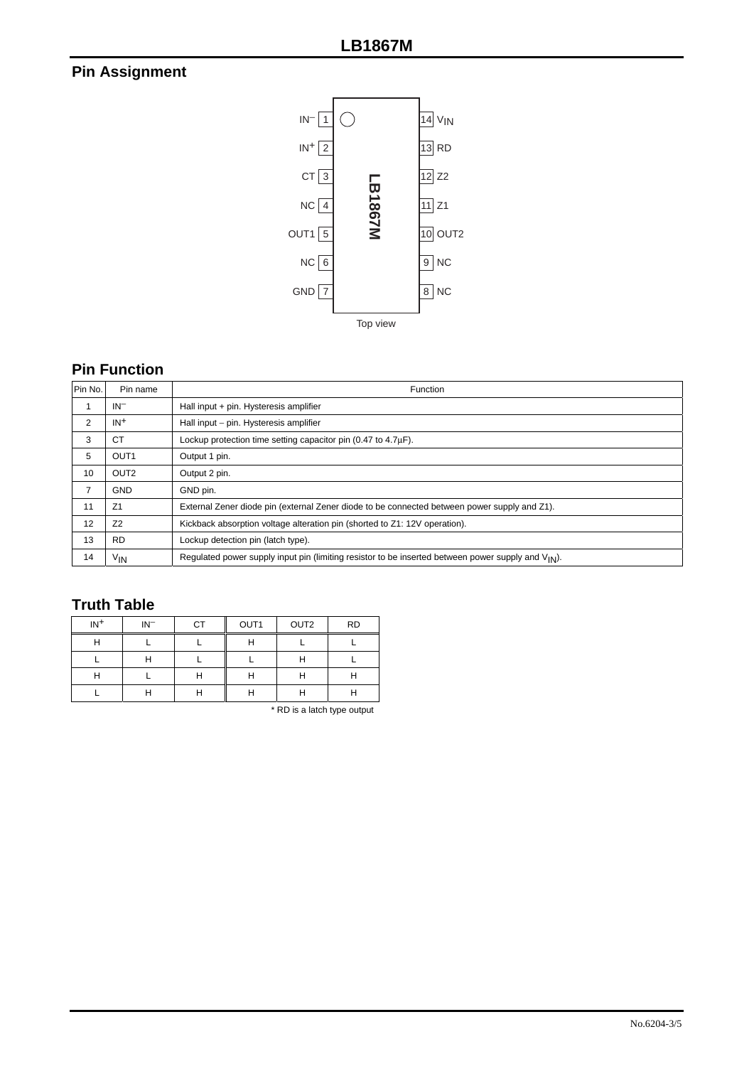## **Pin Assignment**



#### **Pin Function**

| Pin No. | Pin name         | Function                                                                                                       |
|---------|------------------|----------------------------------------------------------------------------------------------------------------|
|         | $IN^-$           | Hall input + pin. Hysteresis amplifier                                                                         |
| 2       | $IN+$            | Hall input - pin. Hysteresis amplifier                                                                         |
| 3       | <b>CT</b>        | Lockup protection time setting capacitor pin (0.47 to 4.7µF).                                                  |
| 5       | OUT <sub>1</sub> | Output 1 pin.                                                                                                  |
| 10      | OUT <sub>2</sub> | Output 2 pin.                                                                                                  |
| 7       | <b>GND</b>       | GND pin.                                                                                                       |
| 11      | Z <sub>1</sub>   | External Zener diode pin (external Zener diode to be connected between power supply and Z1).                   |
| 12      | Z <sub>2</sub>   | Kickback absorption voltage alteration pin (shorted to Z1: 12V operation).                                     |
| 13      | <b>RD</b>        | Lockup detection pin (latch type).                                                                             |
| 14      | ٧ın              | Requlated power supply input pin (limiting resistor to be inserted between power supply and $V_{\text{IN}}$ ). |

### **Truth Table**

| $IN+$ | $IN^-$ | CT | OUT1     | OUT <sub>2</sub> | <b>RD</b> |
|-------|--------|----|----------|------------------|-----------|
| Н     |        |    | ⊔        |                  |           |
|       | Н      |    |          | н                |           |
| н     |        | Н  | . .      | н                | ш         |
|       | н      | н  | . .<br>н | н                | н         |

\* RD is a latch type output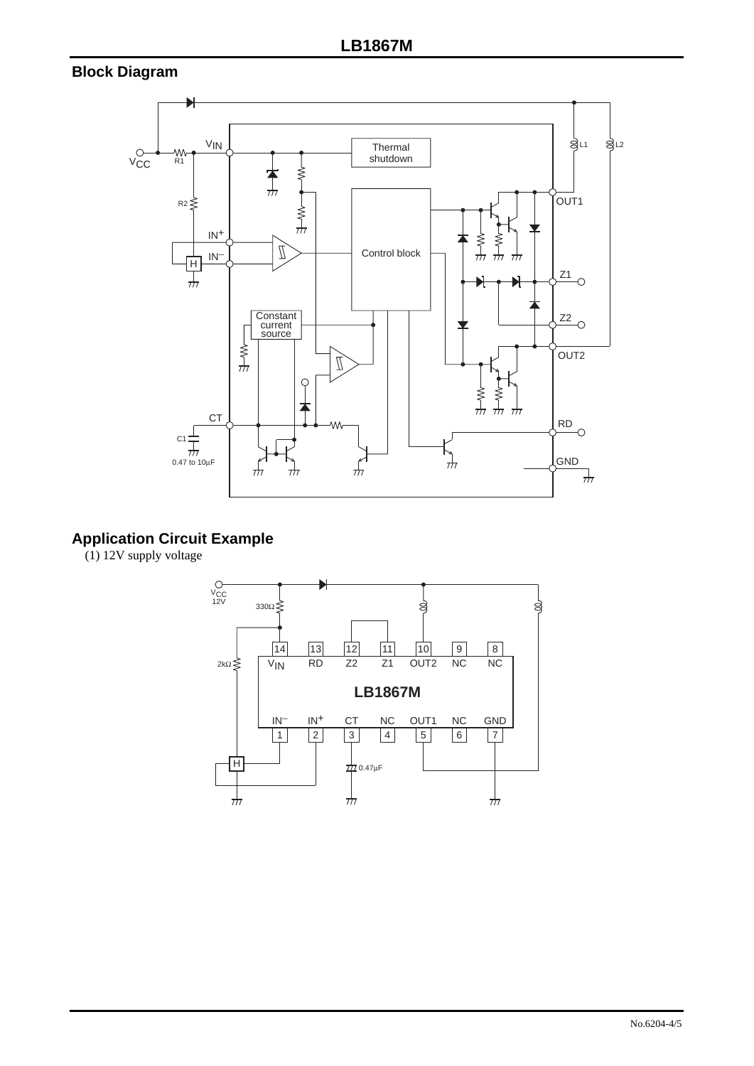#### **Block Diagram**



## **Application Circuit Example**

(1) 12V supply voltage